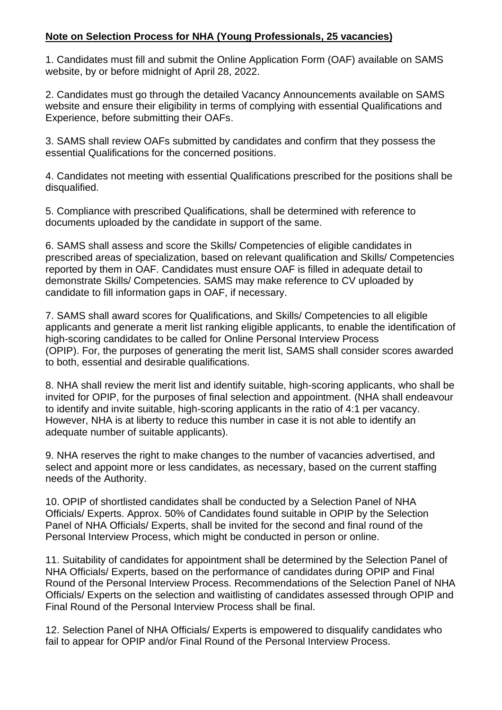## **Note on Selection Process for NHA (Young Professionals, 25 vacancies)**

1. Candidates must fill and submit the Online Application Form (OAF) available on SAMS website, by or before midnight of April 28, 2022.

2. Candidates must go through the detailed Vacancy Announcements available on SAMS website and ensure their eligibility in terms of complying with essential Qualifications and Experience, before submitting their OAFs.

3. SAMS shall review OAFs submitted by candidates and confirm that they possess the essential Qualifications for the concerned positions.

4. Candidates not meeting with essential Qualifications prescribed for the positions shall be disqualified.

5. Compliance with prescribed Qualifications, shall be determined with reference to documents uploaded by the candidate in support of the same.

6. SAMS shall assess and score the Skills/ Competencies of eligible candidates in prescribed areas of specialization, based on relevant qualification and Skills/ Competencies reported by them in OAF. Candidates must ensure OAF is filled in adequate detail to demonstrate Skills/ Competencies. SAMS may make reference to CV uploaded by candidate to fill information gaps in OAF, if necessary.

7. SAMS shall award scores for Qualifications, and Skills/ Competencies to all eligible applicants and generate a merit list ranking eligible applicants, to enable the identification of high-scoring candidates to be called for Online Personal Interview Process (OPIP). For, the purposes of generating the merit list, SAMS shall consider scores awarded to both, essential and desirable qualifications.

8. NHA shall review the merit list and identify suitable, high-scoring applicants, who shall be invited for OPIP, for the purposes of final selection and appointment. (NHA shall endeavour to identify and invite suitable, high-scoring applicants in the ratio of 4:1 per vacancy. However, NHA is at liberty to reduce this number in case it is not able to identify an adequate number of suitable applicants).

9. NHA reserves the right to make changes to the number of vacancies advertised, and select and appoint more or less candidates, as necessary, based on the current staffing needs of the Authority.

10. OPIP of shortlisted candidates shall be conducted by a Selection Panel of NHA Officials/ Experts. Approx. 50% of Candidates found suitable in OPIP by the Selection Panel of NHA Officials/ Experts, shall be invited for the second and final round of the Personal Interview Process, which might be conducted in person or online.

11. Suitability of candidates for appointment shall be determined by the Selection Panel of NHA Officials/ Experts, based on the performance of candidates during OPIP and Final Round of the Personal Interview Process. Recommendations of the Selection Panel of NHA Officials/ Experts on the selection and waitlisting of candidates assessed through OPIP and Final Round of the Personal Interview Process shall be final.

12. Selection Panel of NHA Officials/ Experts is empowered to disqualify candidates who fail to appear for OPIP and/or Final Round of the Personal Interview Process.